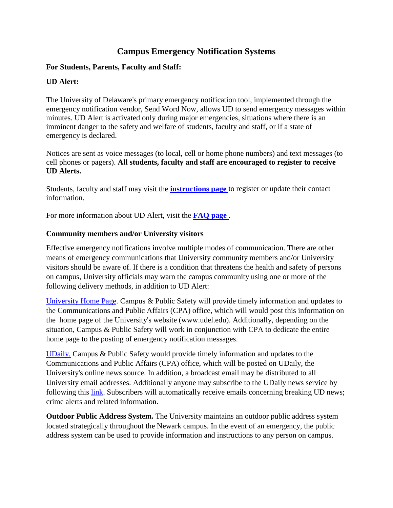## **Campus Emergency Notification Systems**

## **For Students, Parents, Faculty and Staff:**

## **UD Alert:**

The University of Delaware's primary emergency notification tool, implemented through the emergency notification vendor, Send Word Now, allows UD to send emergency messages within minutes. UD Alert is activated only during major emergencies, situations where there is an imminent danger to the safety and welfare of students, faculty and staff, or if a state of emergency is declared.

Notices are sent as voice messages (to local, cell or home phone numbers) and text messages (to cell phones or pagers). **All students, faculty and staff are encouraged to register to receive UD Alerts.**

Students, faculty and staff may visit the **[instructions page](http://www.udel.edu/alert/alert-instructions.html)** to register or update their contact information.

For more information about UD Alert, visit the **[FAQ page](http://www.udel.edu/alert/alert-faq.html)** .

## **Community members and/or University visitors**

Effective emergency notifications involve multiple modes of communication. There are other means of emergency communications that University community members and/or University visitors should be aware of. If there is a condition that threatens the health and safety of persons on campus, University officials may warn the campus community using one or more of the following delivery methods, in addition to UD Alert:

[University Home Page.](http://www.udel.edu/) Campus & Public Safety will provide timely information and updates to the Communications and Public Affairs (CPA) office, which will would post this information on the home page of the University's website (www.udel.edu). Additionally, depending on the situation, Campus & Public Safety will work in conjunction with CPA to dedicate the entire home page to the posting of emergency notification messages.

[UDaily.](http://www.udel.edu/udaily/) Campus & Public Safety would provide timely information and updates to the Communications and Public Affairs (CPA) office, which will be posted on UDaily, the University's online news source. In addition, a broadcast email may be distributed to all University email addresses. Additionally anyone may subscribe to the UDaily news service by following this [link.](http://www.ocm.udel.edu/udaily/subscribe.php) Subscribers will automatically receive emails concerning breaking UD news; crime alerts and related information.

**Outdoor Public Address System.** The University maintains an outdoor public address system located strategically throughout the Newark campus. In the event of an emergency, the public address system can be used to provide information and instructions to any person on campus.